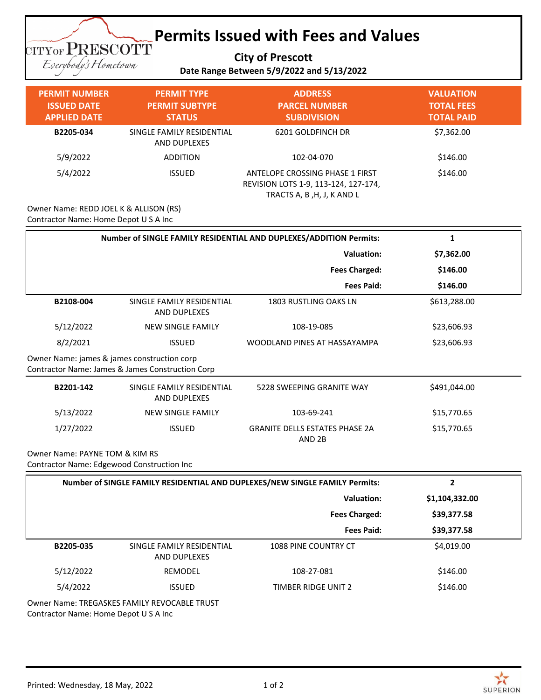## **Permits Issued with Fees and Values**

**City of Prescott**

**TITYOF PRESCOTT** Eserybody's Hometown

## **Date Range Between 5/9/2022 and 5/13/2022**

| <b>PERMIT NUMBER</b><br><b>ISSUED DATE</b><br><b>APPLIED DATE</b> | <b>PERMIT TYPE</b><br><b>PERMIT SUBTYPE</b><br><b>STATUS</b> | <b>ADDRESS</b><br><b>PARCEL NUMBER</b><br><b>SUBDIVISION</b>                                          | <b>VALUATION</b><br><b>TOTAL FEES</b><br><b>TOTAL PAID</b> |
|-------------------------------------------------------------------|--------------------------------------------------------------|-------------------------------------------------------------------------------------------------------|------------------------------------------------------------|
| B2205-034                                                         | SINGLE FAMILY RESIDENTIAL<br>AND DUPLEXES                    | 6201 GOLDFINCH DR                                                                                     | \$7,362.00                                                 |
| 5/9/2022                                                          | <b>ADDITION</b>                                              | 102-04-070                                                                                            | \$146.00                                                   |
| 5/4/2022                                                          | <b>ISSUED</b>                                                | ANTELOPE CROSSING PHASE 1 FIRST<br>REVISION LOTS 1-9, 113-124, 127-174,<br>TRACTS A, B, H, J, K AND L | \$146.00                                                   |

Owner Name: REDD JOEL K & ALLISON (RS) Contractor Name: Home Depot U S A Inc

| Number of SINGLE FAMILY RESIDENTIAL AND DUPLEXES/ADDITION Permits:                              | 1                                                |                                                            |                |  |
|-------------------------------------------------------------------------------------------------|--------------------------------------------------|------------------------------------------------------------|----------------|--|
|                                                                                                 |                                                  | <b>Valuation:</b>                                          | \$7,362.00     |  |
|                                                                                                 |                                                  | <b>Fees Charged:</b>                                       | \$146.00       |  |
|                                                                                                 |                                                  | <b>Fees Paid:</b>                                          | \$146.00       |  |
| B2108-004                                                                                       | SINGLE FAMILY RESIDENTIAL<br><b>AND DUPLEXES</b> | <b>1803 RUSTLING OAKS LN</b>                               | \$613,288.00   |  |
| 5/12/2022                                                                                       | <b>NEW SINGLE FAMILY</b>                         | 108-19-085                                                 | \$23,606.93    |  |
| 8/2/2021                                                                                        | <b>ISSUED</b>                                    | WOODLAND PINES AT HASSAYAMPA                               | \$23,606.93    |  |
| Owner Name: james & james construction corp<br>Contractor Name: James & James Construction Corp |                                                  |                                                            |                |  |
| B2201-142                                                                                       | SINGLE FAMILY RESIDENTIAL<br>AND DUPLEXES        | 5228 SWEEPING GRANITE WAY                                  | \$491,044.00   |  |
| 5/13/2022                                                                                       | <b>NEW SINGLE FAMILY</b>                         | 103-69-241                                                 | \$15,770.65    |  |
| 1/27/2022                                                                                       | <b>ISSUED</b>                                    | <b>GRANITE DELLS ESTATES PHASE 2A</b><br>AND <sub>2B</sub> | \$15,770.65    |  |
| Owner Name: PAYNE TOM & KIM RS<br>Contractor Name: Edgewood Construction Inc                    |                                                  |                                                            |                |  |
| Number of SINGLE FAMILY RESIDENTIAL AND DUPLEXES/NEW SINGLE FAMILY Permits:<br>$\overline{2}$   |                                                  |                                                            |                |  |
|                                                                                                 |                                                  | <b>Valuation:</b>                                          | \$1,104,332.00 |  |
|                                                                                                 |                                                  | <b>Fees Charged:</b>                                       | \$39,377.58    |  |
|                                                                                                 |                                                  | <b>Fees Paid:</b>                                          | \$39,377.58    |  |
| B2205-035                                                                                       | SINGLE FAMILY RESIDENTIAL<br><b>AND DUPLEXES</b> | 1088 PINE COUNTRY CT                                       | \$4,019.00     |  |
| 5/12/2022                                                                                       | REMODEL                                          | 108-27-081                                                 | \$146.00       |  |
| 5/4/2022                                                                                        | <b>ISSUED</b>                                    | <b>TIMBER RIDGE UNIT 2</b>                                 | \$146.00       |  |

Owner Name: TREGASKES FAMILY REVOCABLE TRUST Contractor Name: Home Depot U S A Inc